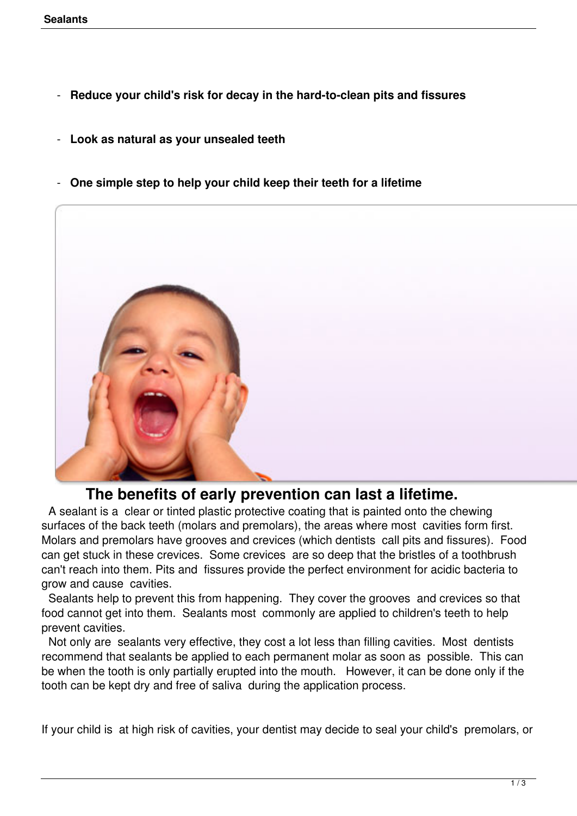- **Reduce your child's risk for decay in the hard-to-clean pits and fissures**
- **Look as natural as your unsealed teeth**
- **One simple step to help your child keep their teeth for a lifetime**



## **The benefits of early prevention can last a lifetime.**

 A sealant is a clear or tinted plastic protective coating that is painted onto the chewing surfaces of the back teeth (molars and premolars), the areas where most cavities form first. Molars and premolars have grooves and crevices (which dentists call pits and fissures). Food can get stuck in these crevices. Some crevices are so deep that the bristles of a toothbrush can't reach into them. Pits and fissures provide the perfect environment for acidic bacteria to grow and cause cavities.

 Sealants help to prevent this from happening. They cover the grooves and crevices so that food cannot get into them. Sealants most commonly are applied to children's teeth to help prevent cavities.

 Not only are sealants very effective, they cost a lot less than filling cavities. Most dentists recommend that sealants be applied to each permanent molar as soon as possible. This can be when the tooth is only partially erupted into the mouth. However, it can be done only if the tooth can be kept dry and free of saliva during the application process.

If your child is at high risk of cavities, your dentist may decide to seal your child's premolars, or